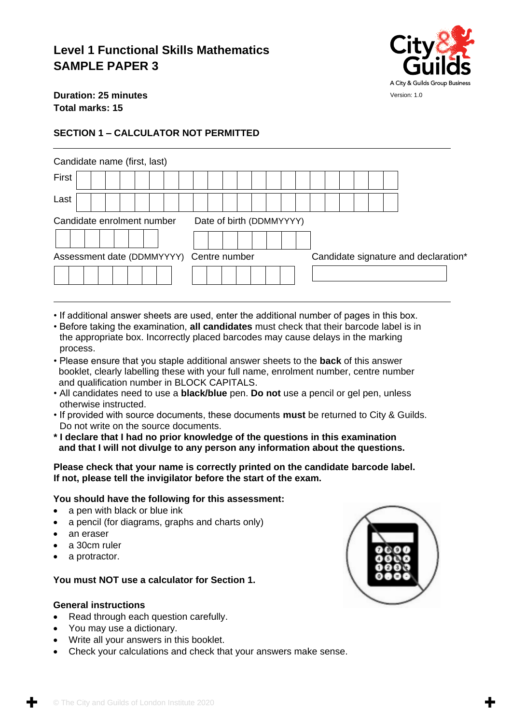# **Level 1 Functional Skills Mathematics SAMPLE PAPER 3**



**Duration: 25 minutes Total marks: 15**

## **SECTION 1 – CALCULATOR NOT PERMITTED**

| Candidate name (first, last)             |  |  |  |  |  |  |  |  |  |  |                                      |                          |  |  |  |  |  |  |  |  |  |
|------------------------------------------|--|--|--|--|--|--|--|--|--|--|--------------------------------------|--------------------------|--|--|--|--|--|--|--|--|--|
| First                                    |  |  |  |  |  |  |  |  |  |  |                                      |                          |  |  |  |  |  |  |  |  |  |
| Last                                     |  |  |  |  |  |  |  |  |  |  |                                      |                          |  |  |  |  |  |  |  |  |  |
| Candidate enrolment number               |  |  |  |  |  |  |  |  |  |  |                                      | Date of birth (DDMMYYYY) |  |  |  |  |  |  |  |  |  |
|                                          |  |  |  |  |  |  |  |  |  |  |                                      |                          |  |  |  |  |  |  |  |  |  |
| Assessment date (DDMMYYYY) Centre number |  |  |  |  |  |  |  |  |  |  | Candidate signature and declaration* |                          |  |  |  |  |  |  |  |  |  |
|                                          |  |  |  |  |  |  |  |  |  |  |                                      |                          |  |  |  |  |  |  |  |  |  |

- If additional answer sheets are used, enter the additional number of pages in this box.
- Before taking the examination, **all candidates** must check that their barcode label is in the appropriate box. Incorrectly placed barcodes may cause delays in the marking process.
- Please ensure that you staple additional answer sheets to the **back** of this answer booklet, clearly labelling these with your full name, enrolment number, centre number and qualification number in BLOCK CAPITALS.
- All candidates need to use a **black/blue** pen. **Do not** use a pencil or gel pen, unless otherwise instructed.
- If provided with source documents, these documents **must** be returned to City & Guilds. Do not write on the source documents.
- **\* I declare that I had no prior knowledge of the questions in this examination and that I will not divulge to any person any information about the questions.**

#### **Please check that your name is correctly printed on the candidate barcode label. If not, please tell the invigilator before the start of the exam.**

#### **You should have the following for this assessment:**

- a pen with black or blue ink
- a pencil (for diagrams, graphs and charts only)
- an eraser
- a 30cm ruler
- a protractor.

### **You must NOT use a calculator for Section 1.**

#### **General instructions**

- Read through each question carefully.
- You may use a dictionary.
- Write all your answers in this booklet.
- Check your calculations and check that your answers make sense.

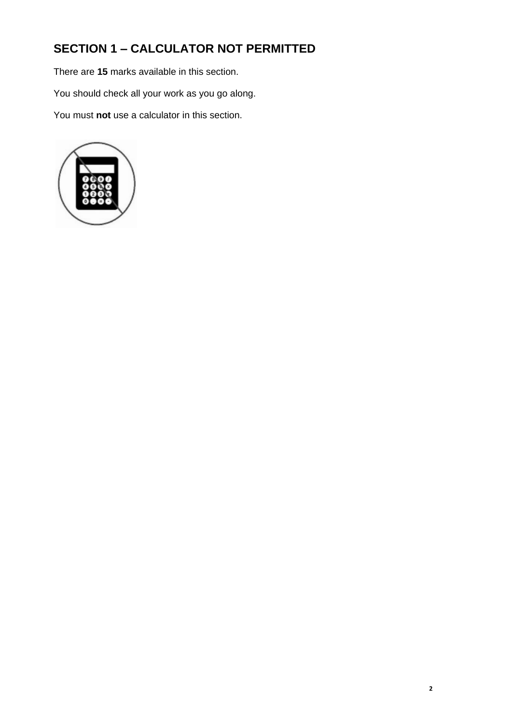# **SECTION 1 – CALCULATOR NOT PERMITTED**

There are **15** marks available in this section.

You should check all your work as you go along.

You must **not** use a calculator in this section.

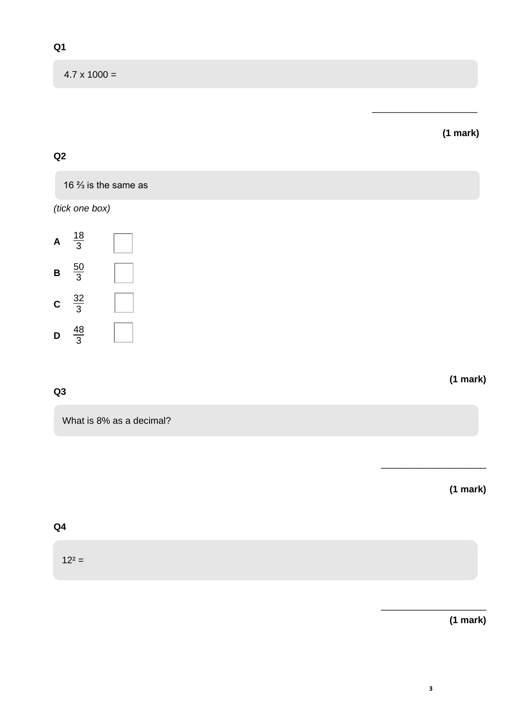$4.7 \times 1000 =$ 

## **(1 mark)**

\_\_\_\_\_\_\_\_\_\_\_\_\_\_\_\_\_\_\_\_

## **Q2**

16 ⅔ is the same as

*(tick one box)*



## **Q3**

What is 8% as a decimal?

**(1 mark)**

\_\_\_\_\_\_\_\_\_\_\_\_\_\_\_\_\_\_\_\_

**(1 mark)**

## **Q4**

 $12^2 =$ 

**(1 mark)**

\_\_\_\_\_\_\_\_\_\_\_\_\_\_\_\_\_\_\_\_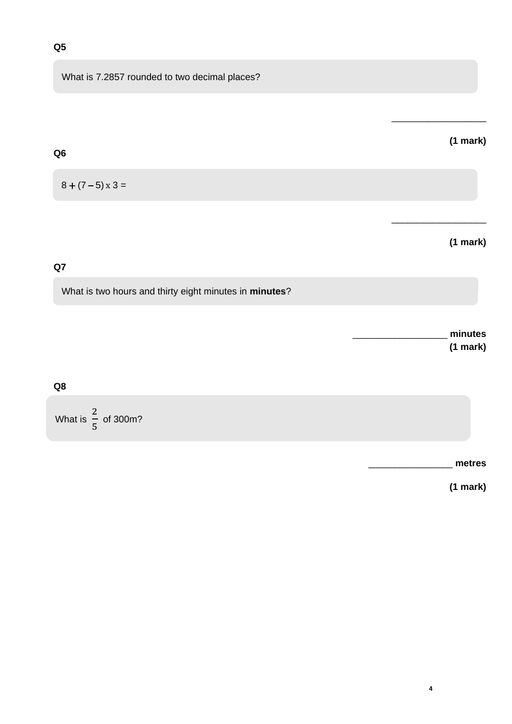## **Q5**

**Q6** 

What is 7.2857 rounded to two decimal places?

# **(1 mark)**

 $\frac{1}{2}$  ,  $\frac{1}{2}$  ,  $\frac{1}{2}$  ,  $\frac{1}{2}$  ,  $\frac{1}{2}$  ,  $\frac{1}{2}$  ,  $\frac{1}{2}$  ,  $\frac{1}{2}$  ,  $\frac{1}{2}$  ,  $\frac{1}{2}$  ,  $\frac{1}{2}$  ,  $\frac{1}{2}$  ,  $\frac{1}{2}$  ,  $\frac{1}{2}$  ,  $\frac{1}{2}$  ,  $\frac{1}{2}$  ,  $\frac{1}{2}$  ,  $\frac{1}{2}$  ,  $\frac{1$ 

\_\_\_\_\_\_\_\_\_\_\_\_\_\_\_\_\_\_

## $8 + (7 - 5) \times 3 =$

## **(1 mark)**

### **Q7**

What is two hours and thirty eight minutes in *minutes*?

\_\_\_\_\_\_\_\_\_\_\_\_\_\_\_\_\_\_ **minutes (1 mark)**

#### **Q8**

What is 2 5 of 300m?

\_\_\_\_\_\_\_\_\_\_\_\_\_\_\_\_ **metres**

**(1 mark)**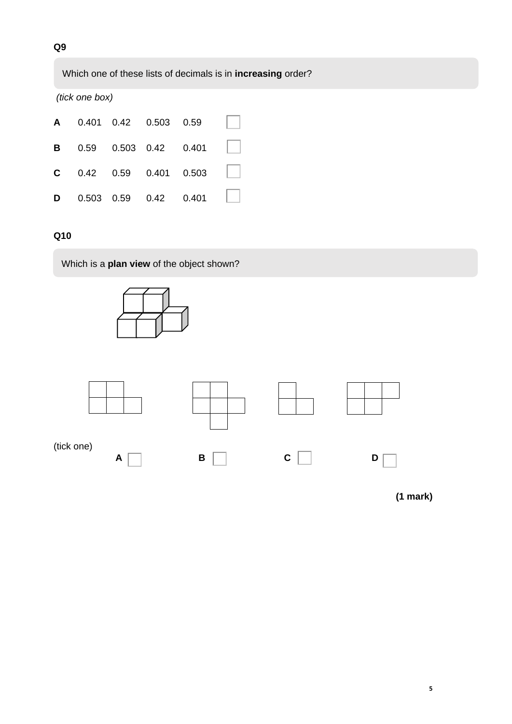Which one of these lists of decimals is in **increasing** order?

*(tick one box)*

|  |  | A 0.401 0.42 0.503 0.59                |  |
|--|--|----------------------------------------|--|
|  |  | <b>B</b> 0.59 0.503 0.42 0.401         |  |
|  |  | <b>C</b> $0.42$ $0.59$ $0.401$ $0.503$ |  |
|  |  | <b>D</b> 0.503 0.59 0.42 0.401         |  |

## **Q10**

Which is a **plan view** of the object shown?





**(1 mark)**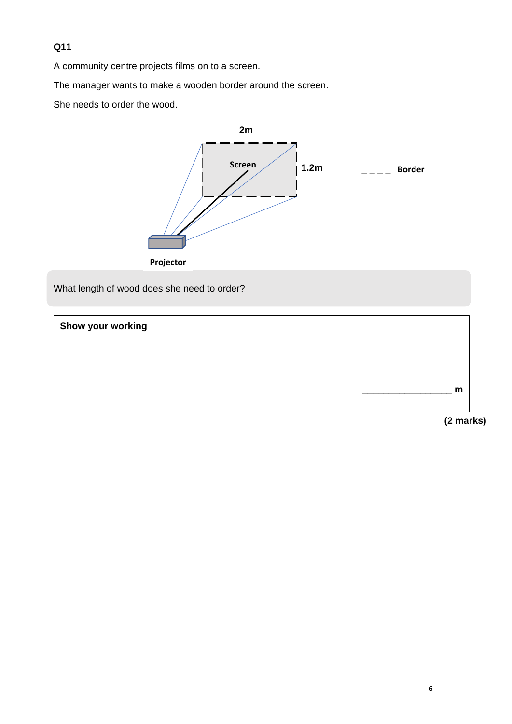## **Q11**

A community centre projects films on to a screen.

The manager wants to make a wooden border around the screen.

She needs to order the wood.



What length of wood does she need to order?

**Show your working**



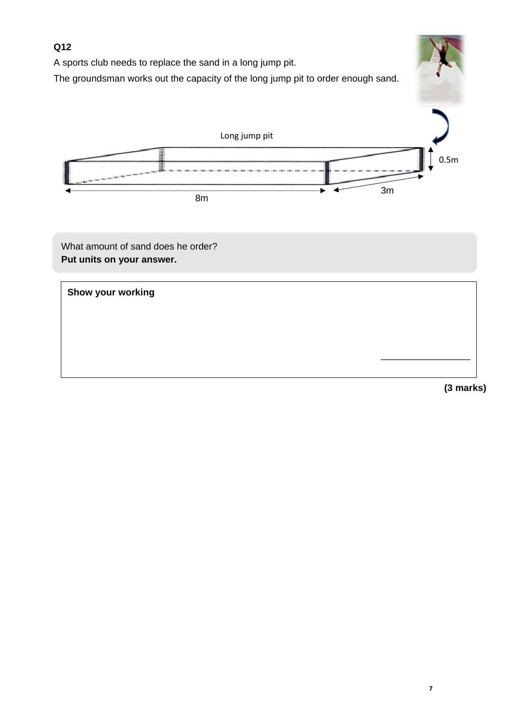## **Q12**

A sports club needs to replace the sand in a long jump pit.

The groundsman works out the capacity of the long jump pit to order enough sand.



What amount of sand does he order? **Put units on your answer.**